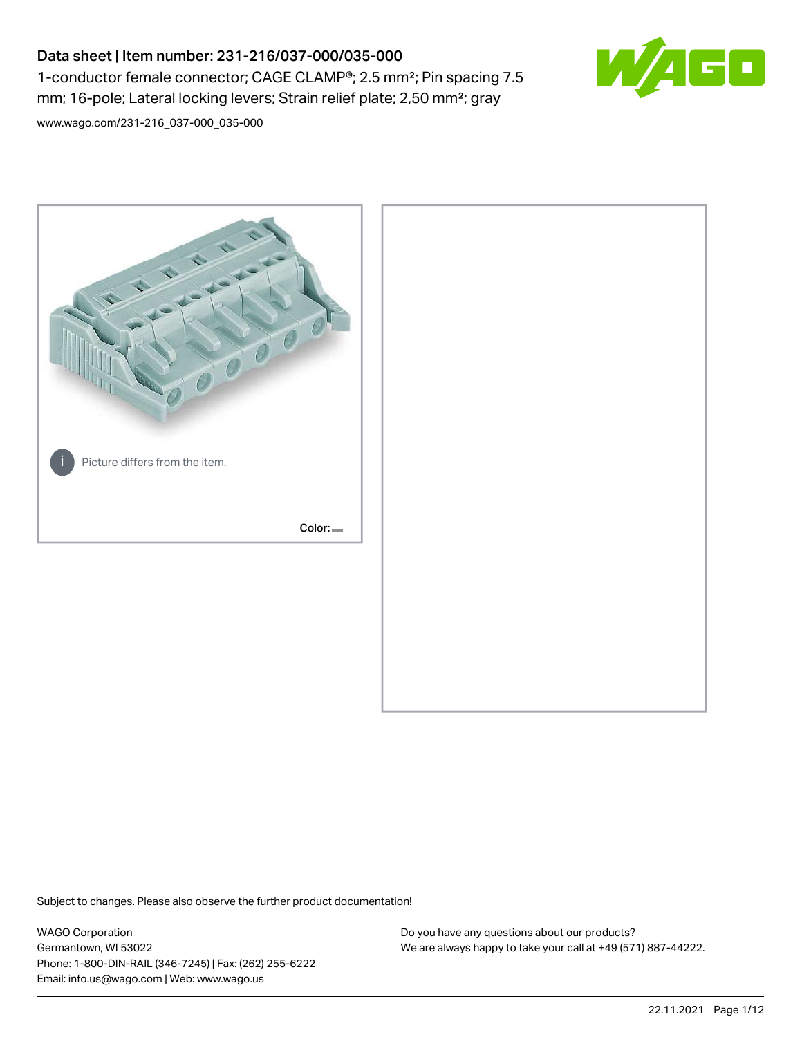# Data sheet | Item number: 231-216/037-000/035-000 1-conductor female connector; CAGE CLAMP®; 2.5 mm²; Pin spacing 7.5 mm; 16-pole; Lateral locking levers; Strain relief plate; 2,50 mm²; gray



[www.wago.com/231-216\\_037-000\\_035-000](http://www.wago.com/231-216_037-000_035-000)



Subject to changes. Please also observe the further product documentation!

WAGO Corporation Germantown, WI 53022 Phone: 1-800-DIN-RAIL (346-7245) | Fax: (262) 255-6222 Email: info.us@wago.com | Web: www.wago.us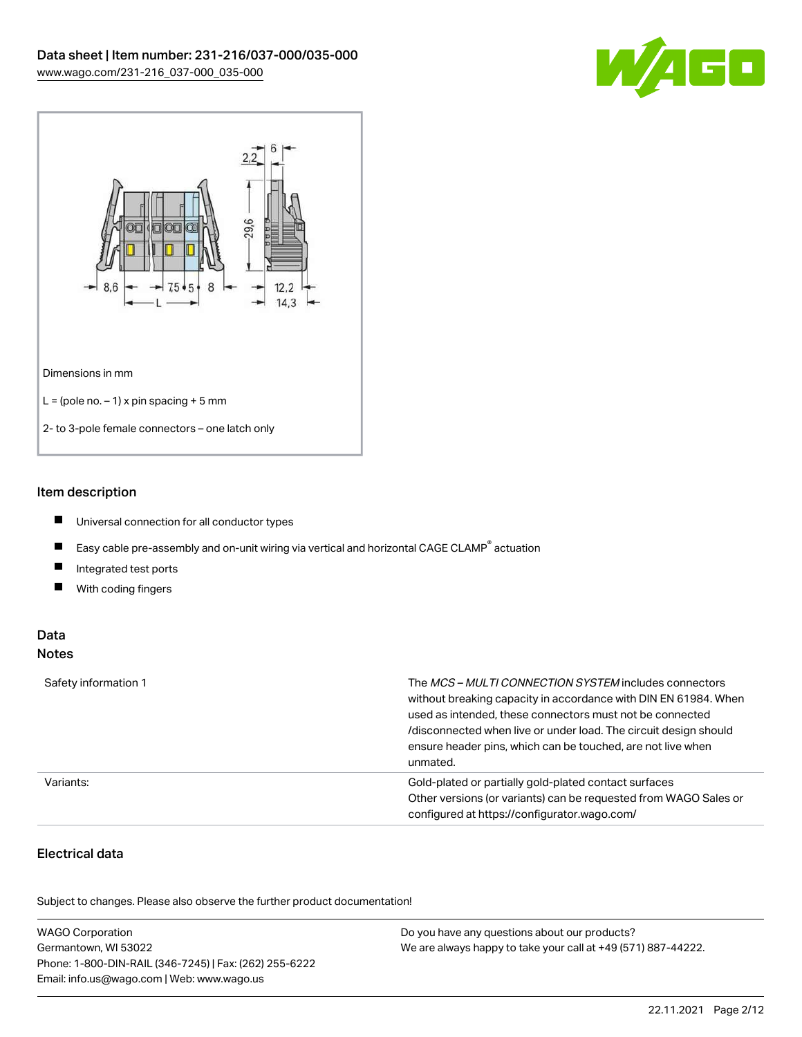



## Item description

- $\blacksquare$ Universal connection for all conductor types
- $\blacksquare$ Easy cable pre-assembly and on-unit wiring via vertical and horizontal CAGE CLAMP<sup>®</sup> actuation
- $\blacksquare$ Integrated test ports
- $\blacksquare$ With coding fingers

## Data Notes

| Safety information 1 | The <i>MCS – MULTI CONNECTION SYSTEM</i> includes connectors<br>without breaking capacity in accordance with DIN EN 61984. When<br>used as intended, these connectors must not be connected<br>/disconnected when live or under load. The circuit design should<br>ensure header pins, which can be touched, are not live when<br>unmated. |
|----------------------|--------------------------------------------------------------------------------------------------------------------------------------------------------------------------------------------------------------------------------------------------------------------------------------------------------------------------------------------|
| Variants:            | Gold-plated or partially gold-plated contact surfaces<br>Other versions (or variants) can be requested from WAGO Sales or<br>configured at https://configurator.wago.com/                                                                                                                                                                  |

## Electrical data

.<br>Subject to changes. Please also observe the further product documentation!

| <b>WAGO Corporation</b>                                | Do you have any questions about our products?                 |
|--------------------------------------------------------|---------------------------------------------------------------|
| Germantown, WI 53022                                   | We are always happy to take your call at +49 (571) 887-44222. |
| Phone: 1-800-DIN-RAIL (346-7245)   Fax: (262) 255-6222 |                                                               |
| Email: info.us@wago.com   Web: www.wago.us             |                                                               |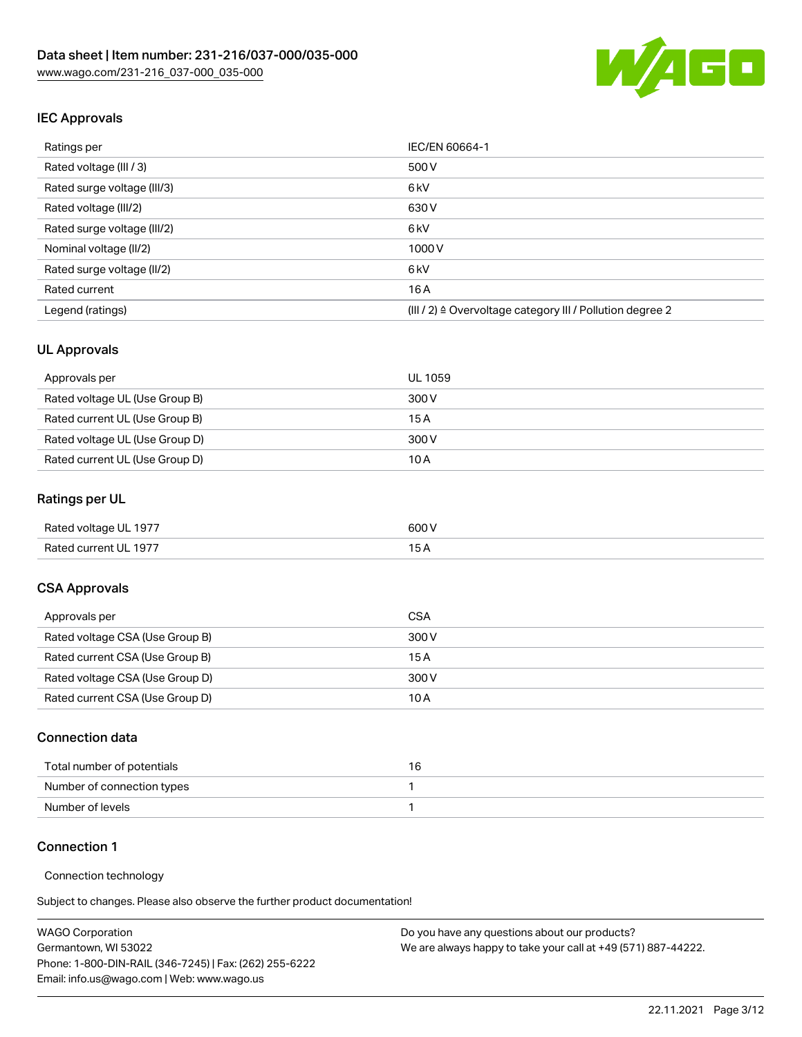

## IEC Approvals

| Ratings per                 | IEC/EN 60664-1                                            |
|-----------------------------|-----------------------------------------------------------|
| Rated voltage (III / 3)     | 500 V                                                     |
| Rated surge voltage (III/3) | 6 <sub>kV</sub>                                           |
| Rated voltage (III/2)       | 630 V                                                     |
| Rated surge voltage (III/2) | 6 <sub>kV</sub>                                           |
| Nominal voltage (II/2)      | 1000 V                                                    |
| Rated surge voltage (II/2)  | 6 <sub>kV</sub>                                           |
| Rated current               | 16A                                                       |
| Legend (ratings)            | (III / 2) ≙ Overvoltage category III / Pollution degree 2 |

## UL Approvals

| Approvals per                  | UL 1059 |
|--------------------------------|---------|
| Rated voltage UL (Use Group B) | 300 V   |
| Rated current UL (Use Group B) | 15 A    |
| Rated voltage UL (Use Group D) | 300 V   |
| Rated current UL (Use Group D) | 10 A    |

## Ratings per UL

| Rated voltage UL 1977 | 600 V |
|-----------------------|-------|
| Rated current UL 1977 |       |

## CSA Approvals

| Approvals per                   | CSA   |
|---------------------------------|-------|
| Rated voltage CSA (Use Group B) | 300 V |
| Rated current CSA (Use Group B) | 15 A  |
| Rated voltage CSA (Use Group D) | 300 V |
| Rated current CSA (Use Group D) | 10 A  |

### Connection data

| Total number of potentials |  |
|----------------------------|--|
| Number of connection types |  |
| Number of levels           |  |

### Connection 1

#### Connection technology

Subject to changes. Please also observe the further product documentation!

| <b>WAGO Corporation</b>                                | Do you have any questions about our products?                 |
|--------------------------------------------------------|---------------------------------------------------------------|
| Germantown, WI 53022                                   | We are always happy to take your call at +49 (571) 887-44222. |
| Phone: 1-800-DIN-RAIL (346-7245)   Fax: (262) 255-6222 |                                                               |
| Email: info.us@wago.com   Web: www.wago.us             |                                                               |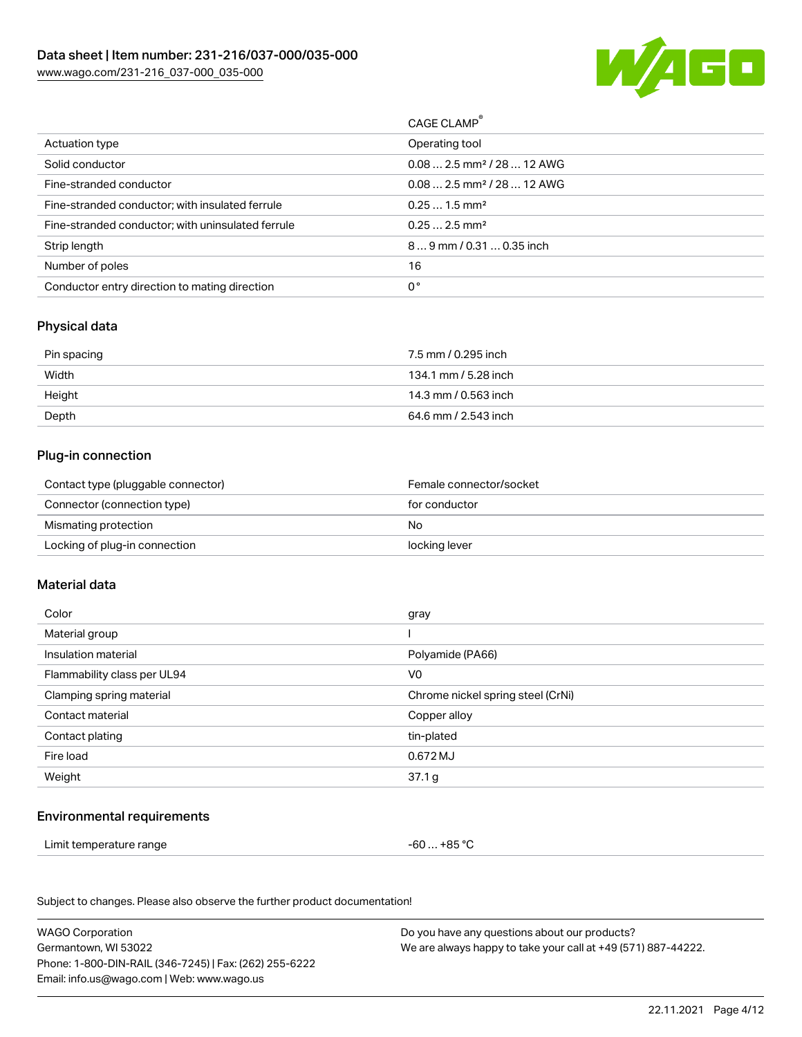

|                                                   | CAGE CLAMP <sup>®</sup>                |
|---------------------------------------------------|----------------------------------------|
| Actuation type                                    | Operating tool                         |
| Solid conductor                                   | $0.082.5$ mm <sup>2</sup> / 28  12 AWG |
| Fine-stranded conductor                           | $0.082.5$ mm <sup>2</sup> / 28  12 AWG |
| Fine-stranded conductor; with insulated ferrule   | $0.251.5$ mm <sup>2</sup>              |
| Fine-stranded conductor; with uninsulated ferrule | $0.252.5$ mm <sup>2</sup>              |
| Strip length                                      | 89 mm / 0.31  0.35 inch                |
| Number of poles                                   | 16                                     |
| Conductor entry direction to mating direction     | 0°                                     |
|                                                   |                                        |

## Physical data

| Pin spacing | 7.5 mm / 0.295 inch  |
|-------------|----------------------|
| Width       | 134.1 mm / 5.28 inch |
| Height      | 14.3 mm / 0.563 inch |
| Depth       | 64.6 mm / 2.543 inch |

## Plug-in connection

| Contact type (pluggable connector) | Female connector/socket |
|------------------------------------|-------------------------|
| Connector (connection type)        | for conductor           |
| Mismating protection               | No                      |
| Locking of plug-in connection      | locking lever           |

### Material data

| Color                       | gray                              |
|-----------------------------|-----------------------------------|
| Material group              |                                   |
| Insulation material         | Polyamide (PA66)                  |
| Flammability class per UL94 | V0                                |
| Clamping spring material    | Chrome nickel spring steel (CrNi) |
| Contact material            | Copper alloy                      |
| Contact plating             | tin-plated                        |
| Fire load                   | 0.672 MJ                          |
| Weight                      | 37.1 g                            |
|                             |                                   |

## Environmental requirements

 $-60... +85 °C$ 

Subject to changes. Please also observe the further product documentation!

| <b>WAGO Corporation</b>                                | Do you have any questions about our products?                 |
|--------------------------------------------------------|---------------------------------------------------------------|
| Germantown, WI 53022                                   | We are always happy to take your call at +49 (571) 887-44222. |
| Phone: 1-800-DIN-RAIL (346-7245)   Fax: (262) 255-6222 |                                                               |
| Email: info.us@wago.com   Web: www.wago.us             |                                                               |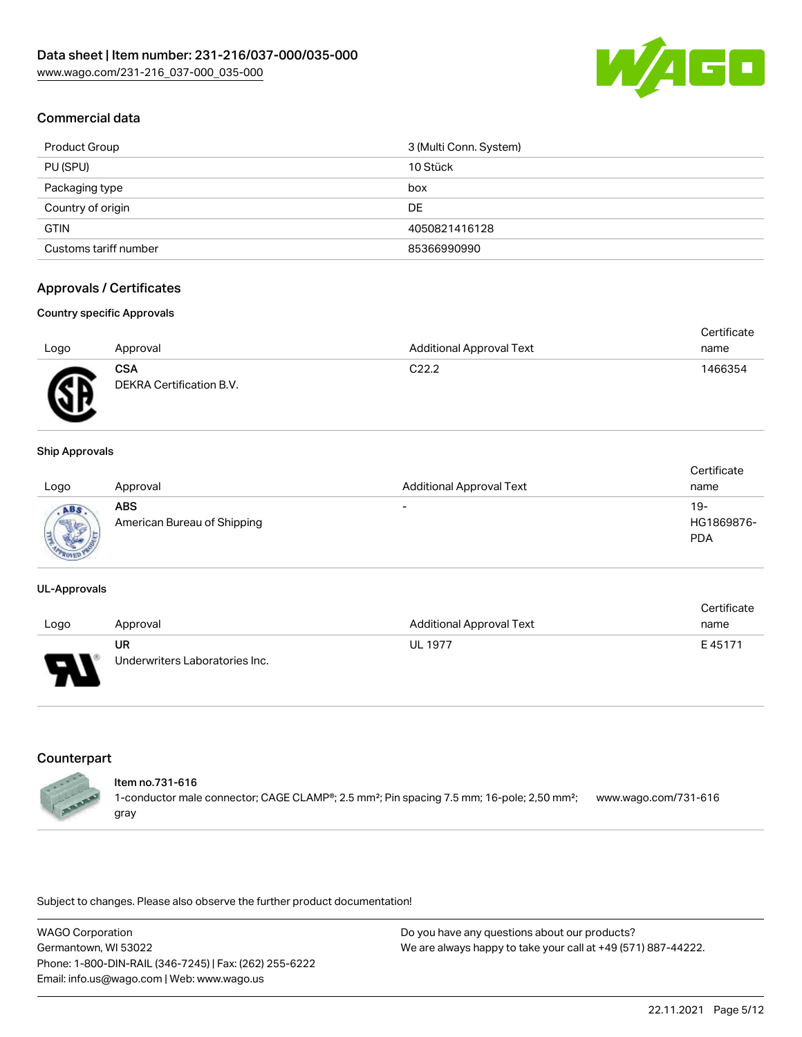

## Commercial data

| Product Group         | 3 (Multi Conn. System) |
|-----------------------|------------------------|
| PU (SPU)              | 10 Stück               |
| Packaging type        | box                    |
| Country of origin     | DE                     |
| <b>GTIN</b>           | 4050821416128          |
| Customs tariff number | 85366990990            |

## Approvals / Certificates

#### Country specific Approvals

|      |                                        |                                 | Certificate |
|------|----------------------------------------|---------------------------------|-------------|
| Logo | Approval                               | <b>Additional Approval Text</b> | name        |
| Æ    | <b>CSA</b><br>DEKRA Certification B.V. | C <sub>22.2</sub>               | 1466354     |

#### Ship Approvals

| Logo                   | Approval                           | <b>Additional Approval Text</b> | Certificate<br>name                |
|------------------------|------------------------------------|---------------------------------|------------------------------------|
| <b>Marrie</b><br>$-70$ | ABS<br>American Bureau of Shipping | $\overline{\phantom{a}}$        | $19 -$<br>HG1869876-<br><b>PDA</b> |

#### UL-Approvals

|      |                                |                                 | Certificate |
|------|--------------------------------|---------------------------------|-------------|
| Logo | Approval                       | <b>Additional Approval Text</b> | name        |
|      | UR                             | <b>UL 1977</b>                  | E45171      |
| Б    | Underwriters Laboratories Inc. |                                 |             |

## **Counterpart**

#### Item no.731-616

1-conductor male connector; CAGE CLAMP®; 2.5 mm²; Pin spacing 7.5 mm; 16-pole; 2,50 mm²; gray [www.wago.com/731-616](https://www.wago.com/731-616)

Subject to changes. Please also observe the further product documentation!

WAGO Corporation Germantown, WI 53022 Phone: 1-800-DIN-RAIL (346-7245) | Fax: (262) 255-6222 Email: info.us@wago.com | Web: www.wago.us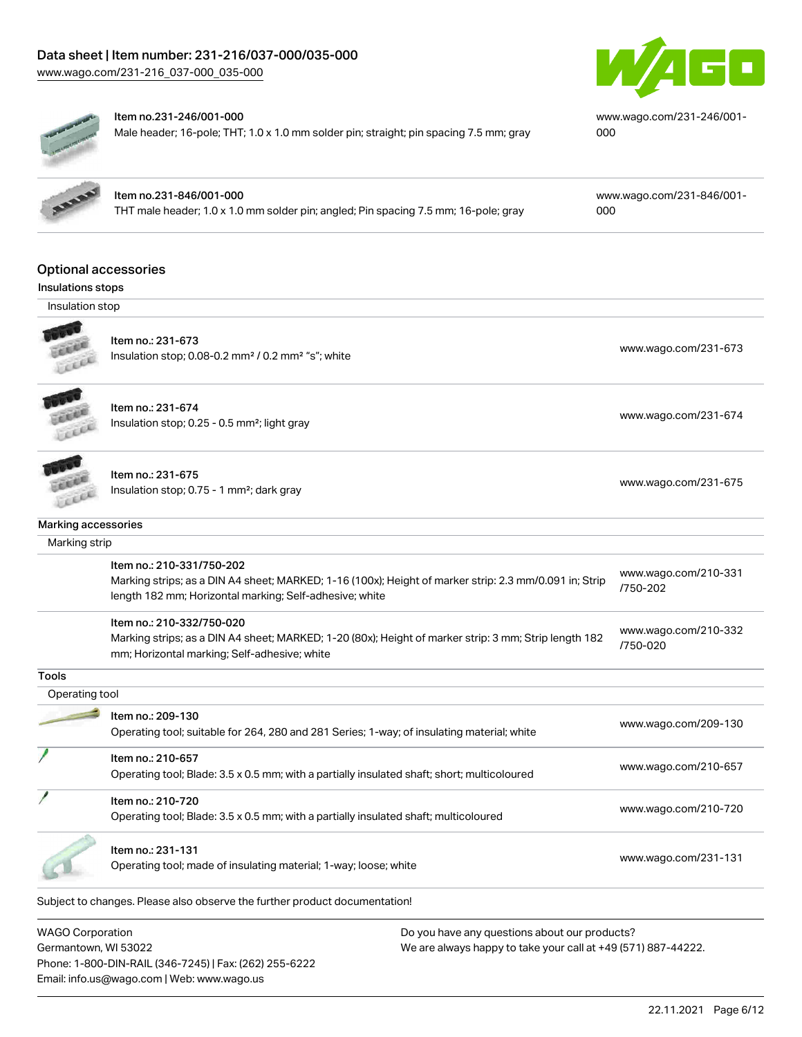# Data sheet | Item number: 231-216/037-000/035-000

[www.wago.com/231-216\\_037-000\\_035-000](http://www.wago.com/231-216_037-000_035-000)





#### Item no.231-246/001-000

Male header; 16-pole; THT; 1.0 x 1.0 mm solder pin; straight; pin spacing 7.5 mm; gray

[www.wago.com/231-246/001-](https://www.wago.com/231-246/001-000) [000](https://www.wago.com/231-246/001-000)

Item no.231-846/001-000 THT male header; 1.0 x 1.0 mm solder pin; angled; Pin spacing 7.5 mm; 16-pole; gray [www.wago.com/231-846/001-](https://www.wago.com/231-846/001-000) [000](https://www.wago.com/231-846/001-000)

# Optional accessories

## Insulations stops

Insulation stop



## Item no.: 231-673

Insulation stop; 0.08-0.2 mm<sup>2</sup> / 0.2 mm<sup>2</sup> "s"; white [www.wago.com/231-673](http://www.wago.com/231-673) www.wago.com/231-673



Item no.: 231-674 Insulation stop; 0.25 - 0.5 mm²; light gray [www.wago.com/231-674](http://www.wago.com/231-674) www.wago.com/231-674



## Item no.: 231-675

Insulation stop; 0.75 - 1 mm<sup>2</sup>; dark gray [www.wago.com/231-675](http://www.wago.com/231-675)<br>Insulation stop; 0.75 - 1 mm<sup>2</sup>; dark gray

#### Marking accessories

Subject to changes. Please also observe the further product documentation! Marking strip Item no.: 210-331/750-202 Marking strips; as a DIN A4 sheet; MARKED; 1-16 (100x); Height of marker strip: 2.3 mm/0.091 in; Strip length 182 mm; Horizontal marking; Self-adhesive; white [www.wago.com/210-331](http://www.wago.com/210-331/750-202) [/750-202](http://www.wago.com/210-331/750-202) Item no.: 210-332/750-020 Marking strips; as a DIN A4 sheet; MARKED; 1-20 (80x); Height of marker strip: 3 mm; Strip length 182 mm; Horizontal marking; Self-adhesive; white [www.wago.com/210-332](http://www.wago.com/210-332/750-020) [/750-020](http://www.wago.com/210-332/750-020) **Tools**  Operating tool Item no.: 209-130 Operating tool; suitable for 264, 280 and 281 Series; 1-way; of insulating material; white [www.wago.com/209-130](http://www.wago.com/209-130) Item no.: 210-657 Operating tool; Blade: 3.5 x 0.5 mm; with a partially insulated shaft; short; multicoloured [www.wago.com/210-657](http://www.wago.com/210-657) Item no.: 210-720 Operating tool; Blade: 3.5 x 0.5 mm; with a partially insulated shaft; multicoloured [www.wago.com/210-720](http://www.wago.com/210-720) Item no.: 231-131 Operating tool; made of insulating material; 1-way; loose; white [www.wago.com/231-131](http://www.wago.com/231-131) www.wago.com/231-131

WAGO Corporation Germantown, WI 53022 Phone: 1-800-DIN-RAIL (346-7245) | Fax: (262) 255-6222 Email: info.us@wago.com | Web: www.wago.us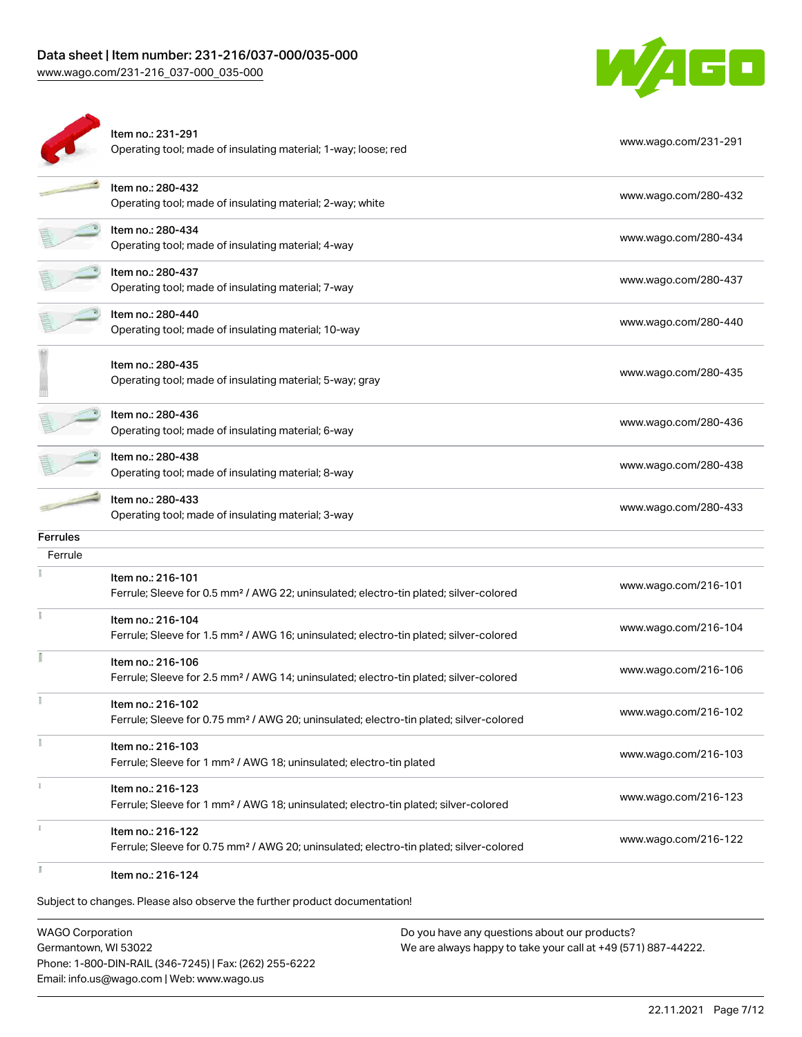# Data sheet | Item number: 231-216/037-000/035-000

[www.wago.com/231-216\\_037-000\\_035-000](http://www.wago.com/231-216_037-000_035-000)



| Item no.: 280-432<br>Operating tool; made of insulating material; 2-way; white<br>Item no.: 280-434<br>Operating tool; made of insulating material; 4-way<br>Item no.: 280-437<br>Operating tool; made of insulating material; 7-way<br>Item no.: 280-440<br>Operating tool; made of insulating material; 10-way<br>Item no.: 280-435<br>Operating tool; made of insulating material; 5-way; gray<br>Item no.: 280-436<br>Operating tool; made of insulating material; 6-way<br>Item no.: 280-438<br>Operating tool; made of insulating material; 8-way<br>Item no.: 280-433<br>Operating tool; made of insulating material; 3-way | www.wago.com/280-432<br>www.wago.com/280-434<br>www.wago.com/280-437<br>www.wago.com/280-440<br>www.wago.com/280-435<br>www.wago.com/280-436<br>www.wago.com/280-438<br>www.wago.com/280-433                                                                                                                                                                                                                                                                  |
|------------------------------------------------------------------------------------------------------------------------------------------------------------------------------------------------------------------------------------------------------------------------------------------------------------------------------------------------------------------------------------------------------------------------------------------------------------------------------------------------------------------------------------------------------------------------------------------------------------------------------------|---------------------------------------------------------------------------------------------------------------------------------------------------------------------------------------------------------------------------------------------------------------------------------------------------------------------------------------------------------------------------------------------------------------------------------------------------------------|
|                                                                                                                                                                                                                                                                                                                                                                                                                                                                                                                                                                                                                                    |                                                                                                                                                                                                                                                                                                                                                                                                                                                               |
|                                                                                                                                                                                                                                                                                                                                                                                                                                                                                                                                                                                                                                    |                                                                                                                                                                                                                                                                                                                                                                                                                                                               |
|                                                                                                                                                                                                                                                                                                                                                                                                                                                                                                                                                                                                                                    |                                                                                                                                                                                                                                                                                                                                                                                                                                                               |
|                                                                                                                                                                                                                                                                                                                                                                                                                                                                                                                                                                                                                                    |                                                                                                                                                                                                                                                                                                                                                                                                                                                               |
|                                                                                                                                                                                                                                                                                                                                                                                                                                                                                                                                                                                                                                    |                                                                                                                                                                                                                                                                                                                                                                                                                                                               |
|                                                                                                                                                                                                                                                                                                                                                                                                                                                                                                                                                                                                                                    |                                                                                                                                                                                                                                                                                                                                                                                                                                                               |
|                                                                                                                                                                                                                                                                                                                                                                                                                                                                                                                                                                                                                                    |                                                                                                                                                                                                                                                                                                                                                                                                                                                               |
|                                                                                                                                                                                                                                                                                                                                                                                                                                                                                                                                                                                                                                    |                                                                                                                                                                                                                                                                                                                                                                                                                                                               |
|                                                                                                                                                                                                                                                                                                                                                                                                                                                                                                                                                                                                                                    |                                                                                                                                                                                                                                                                                                                                                                                                                                                               |
|                                                                                                                                                                                                                                                                                                                                                                                                                                                                                                                                                                                                                                    |                                                                                                                                                                                                                                                                                                                                                                                                                                                               |
| Item no.: 216-101<br>Ferrule; Sleeve for 0.5 mm <sup>2</sup> / AWG 22; uninsulated; electro-tin plated; silver-colored                                                                                                                                                                                                                                                                                                                                                                                                                                                                                                             | www.wago.com/216-101                                                                                                                                                                                                                                                                                                                                                                                                                                          |
| Item no.: 216-104<br>Ferrule; Sleeve for 1.5 mm <sup>2</sup> / AWG 16; uninsulated; electro-tin plated; silver-colored                                                                                                                                                                                                                                                                                                                                                                                                                                                                                                             | www.wago.com/216-104                                                                                                                                                                                                                                                                                                                                                                                                                                          |
| Item no.: 216-106<br>Ferrule; Sleeve for 2.5 mm <sup>2</sup> / AWG 14; uninsulated; electro-tin plated; silver-colored                                                                                                                                                                                                                                                                                                                                                                                                                                                                                                             | www.wago.com/216-106                                                                                                                                                                                                                                                                                                                                                                                                                                          |
| Item no.: 216-102                                                                                                                                                                                                                                                                                                                                                                                                                                                                                                                                                                                                                  | www.wago.com/216-102                                                                                                                                                                                                                                                                                                                                                                                                                                          |
|                                                                                                                                                                                                                                                                                                                                                                                                                                                                                                                                                                                                                                    | www.wago.com/216-103                                                                                                                                                                                                                                                                                                                                                                                                                                          |
|                                                                                                                                                                                                                                                                                                                                                                                                                                                                                                                                                                                                                                    | www.wago.com/216-123                                                                                                                                                                                                                                                                                                                                                                                                                                          |
|                                                                                                                                                                                                                                                                                                                                                                                                                                                                                                                                                                                                                                    | www.wago.com/216-122                                                                                                                                                                                                                                                                                                                                                                                                                                          |
|                                                                                                                                                                                                                                                                                                                                                                                                                                                                                                                                                                                                                                    |                                                                                                                                                                                                                                                                                                                                                                                                                                                               |
|                                                                                                                                                                                                                                                                                                                                                                                                                                                                                                                                                                                                                                    | Ferrule; Sleeve for 0.75 mm <sup>2</sup> / AWG 20; uninsulated; electro-tin plated; silver-colored<br>Item no.: 216-103<br>Ferrule; Sleeve for 1 mm <sup>2</sup> / AWG 18; uninsulated; electro-tin plated<br>Item no.: 216-123<br>Ferrule; Sleeve for 1 mm <sup>2</sup> / AWG 18; uninsulated; electro-tin plated; silver-colored<br>Item no.: 216-122<br>Ferrule; Sleeve for 0.75 mm <sup>2</sup> / AWG 20; uninsulated; electro-tin plated; silver-colored |

WAGO Corporation Germantown, WI 53022 Phone: 1-800-DIN-RAIL (346-7245) | Fax: (262) 255-6222 Email: info.us@wago.com | Web: www.wago.us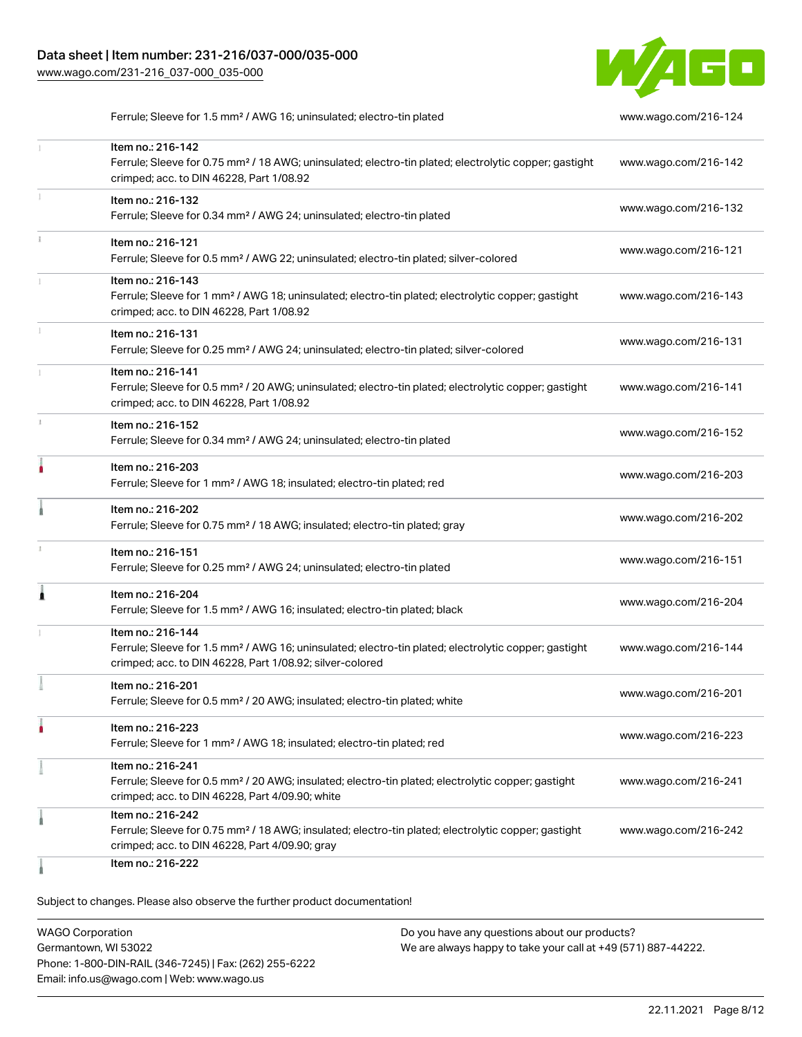[www.wago.com/231-216\\_037-000\\_035-000](http://www.wago.com/231-216_037-000_035-000)



Ferrule; Sleeve for 1.5 mm² / AWG 16; uninsulated; electro-tin plated [www.wago.com/216-124](http://www.wago.com/216-124)

|               | Item no.: 216-142<br>Ferrule; Sleeve for 0.75 mm <sup>2</sup> / 18 AWG; uninsulated; electro-tin plated; electrolytic copper; gastight<br>crimped; acc. to DIN 46228, Part 1/08.92                | www.wago.com/216-142 |
|---------------|---------------------------------------------------------------------------------------------------------------------------------------------------------------------------------------------------|----------------------|
|               | Item no.: 216-132<br>Ferrule; Sleeve for 0.34 mm <sup>2</sup> / AWG 24; uninsulated; electro-tin plated                                                                                           | www.wago.com/216-132 |
| $\frac{1}{3}$ | Item no.: 216-121<br>Ferrule; Sleeve for 0.5 mm <sup>2</sup> / AWG 22; uninsulated; electro-tin plated; silver-colored                                                                            | www.wago.com/216-121 |
|               | Item no.: 216-143<br>Ferrule; Sleeve for 1 mm <sup>2</sup> / AWG 18; uninsulated; electro-tin plated; electrolytic copper; gastight<br>crimped; acc. to DIN 46228, Part 1/08.92                   | www.wago.com/216-143 |
|               | Item no.: 216-131<br>Ferrule; Sleeve for 0.25 mm <sup>2</sup> / AWG 24; uninsulated; electro-tin plated; silver-colored                                                                           | www.wago.com/216-131 |
|               | Item no.: 216-141<br>Ferrule; Sleeve for 0.5 mm <sup>2</sup> / 20 AWG; uninsulated; electro-tin plated; electrolytic copper; gastight<br>crimped; acc. to DIN 46228, Part 1/08.92                 | www.wago.com/216-141 |
| J.            | Item no.: 216-152<br>Ferrule; Sleeve for 0.34 mm <sup>2</sup> / AWG 24; uninsulated; electro-tin plated                                                                                           | www.wago.com/216-152 |
|               | Item no.: 216-203<br>Ferrule; Sleeve for 1 mm <sup>2</sup> / AWG 18; insulated; electro-tin plated; red                                                                                           | www.wago.com/216-203 |
|               | Item no.: 216-202<br>Ferrule; Sleeve for 0.75 mm <sup>2</sup> / 18 AWG; insulated; electro-tin plated; gray                                                                                       | www.wago.com/216-202 |
|               | Item no.: 216-151<br>Ferrule; Sleeve for 0.25 mm <sup>2</sup> / AWG 24; uninsulated; electro-tin plated                                                                                           | www.wago.com/216-151 |
| ٠             | Item no.: 216-204<br>Ferrule; Sleeve for 1.5 mm <sup>2</sup> / AWG 16; insulated; electro-tin plated; black                                                                                       | www.wago.com/216-204 |
|               | Item no.: 216-144<br>Ferrule; Sleeve for 1.5 mm <sup>2</sup> / AWG 16; uninsulated; electro-tin plated; electrolytic copper; gastight<br>crimped; acc. to DIN 46228, Part 1/08.92; silver-colored | www.wago.com/216-144 |
|               | Item no.: 216-201<br>Ferrule; Sleeve for 0.5 mm <sup>2</sup> / 20 AWG; insulated; electro-tin plated; white                                                                                       | www.wago.com/216-201 |
|               | Item no.: 216-223<br>Ferrule; Sleeve for 1 mm <sup>2</sup> / AWG 18; insulated; electro-tin plated; red                                                                                           | www.wago.com/216-223 |
|               | Item no.: 216-241<br>Ferrule; Sleeve for 0.5 mm <sup>2</sup> / 20 AWG; insulated; electro-tin plated; electrolytic copper; gastight<br>crimped; acc. to DIN 46228, Part 4/09.90; white            | www.wago.com/216-241 |
|               | Item no.: 216-242<br>Ferrule; Sleeve for 0.75 mm <sup>2</sup> / 18 AWG; insulated; electro-tin plated; electrolytic copper; gastight<br>crimped; acc. to DIN 46228, Part 4/09.90; gray            | www.wago.com/216-242 |
|               | Item no.: 216-222                                                                                                                                                                                 |                      |

Subject to changes. Please also observe the further product documentation!

WAGO Corporation Germantown, WI 53022 Phone: 1-800-DIN-RAIL (346-7245) | Fax: (262) 255-6222 Email: info.us@wago.com | Web: www.wago.us Do you have any questions about our products? We are always happy to take your call at +49 (571) 887-44222.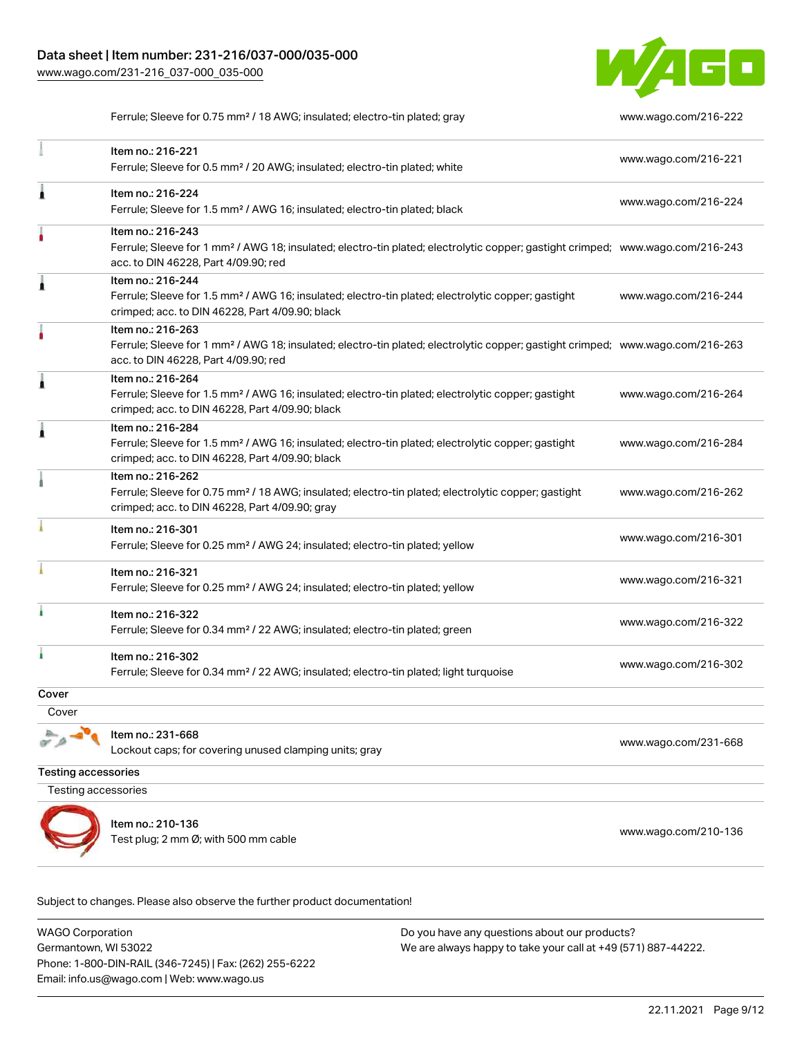

Ferrule; Sleeve for 0.75 mm² / 18 AWG; insulated; electro-tin plated; gray [www.wago.com/216-222](http://www.wago.com/216-222)

|       | Item no.: 216-221<br>Ferrule; Sleeve for 0.5 mm <sup>2</sup> / 20 AWG; insulated; electro-tin plated; white                                                                                             | www.wago.com/216-221 |
|-------|---------------------------------------------------------------------------------------------------------------------------------------------------------------------------------------------------------|----------------------|
| Â     | Item no.: 216-224<br>Ferrule; Sleeve for 1.5 mm <sup>2</sup> / AWG 16; insulated; electro-tin plated; black                                                                                             | www.wago.com/216-224 |
|       | Item no.: 216-243<br>Ferrule; Sleeve for 1 mm <sup>2</sup> / AWG 18; insulated; electro-tin plated; electrolytic copper; gastight crimped; www.wago.com/216-243<br>acc. to DIN 46228, Part 4/09.90; red |                      |
| 1     | Item no.: 216-244<br>Ferrule; Sleeve for 1.5 mm <sup>2</sup> / AWG 16; insulated; electro-tin plated; electrolytic copper; gastight<br>crimped; acc. to DIN 46228, Part 4/09.90; black                  | www.wago.com/216-244 |
|       | Item no.: 216-263<br>Ferrule; Sleeve for 1 mm <sup>2</sup> / AWG 18; insulated; electro-tin plated; electrolytic copper; gastight crimped; www.wago.com/216-263<br>acc. to DIN 46228, Part 4/09.90; red |                      |
| 1     | Item no.: 216-264<br>Ferrule; Sleeve for 1.5 mm <sup>2</sup> / AWG 16; insulated; electro-tin plated; electrolytic copper; gastight<br>crimped; acc. to DIN 46228, Part 4/09.90; black                  | www.wago.com/216-264 |
| 1     | Item no.: 216-284<br>Ferrule; Sleeve for 1.5 mm <sup>2</sup> / AWG 16; insulated; electro-tin plated; electrolytic copper; gastight<br>crimped; acc. to DIN 46228, Part 4/09.90; black                  | www.wago.com/216-284 |
|       | Item no.: 216-262<br>Ferrule; Sleeve for 0.75 mm <sup>2</sup> / 18 AWG; insulated; electro-tin plated; electrolytic copper; gastight<br>crimped; acc. to DIN 46228, Part 4/09.90; gray                  | www.wago.com/216-262 |
|       | Item no.: 216-301<br>Ferrule; Sleeve for 0.25 mm <sup>2</sup> / AWG 24; insulated; electro-tin plated; yellow                                                                                           | www.wago.com/216-301 |
|       | Item no.: 216-321<br>Ferrule; Sleeve for 0.25 mm <sup>2</sup> / AWG 24; insulated; electro-tin plated; yellow                                                                                           | www.wago.com/216-321 |
|       | Item no.: 216-322<br>Ferrule; Sleeve for 0.34 mm <sup>2</sup> / 22 AWG; insulated; electro-tin plated; green                                                                                            | www.wago.com/216-322 |
| ł     | Item no.: 216-302<br>Ferrule; Sleeve for 0.34 mm <sup>2</sup> / 22 AWG; insulated; electro-tin plated; light turquoise                                                                                  | www.wago.com/216-302 |
| Cover |                                                                                                                                                                                                         |                      |
| Cover |                                                                                                                                                                                                         |                      |
|       | Item no.: 231-668<br>Lockout caps; for covering unused clamping units; gray                                                                                                                             | www.wago.com/231-668 |

Testing accessories

Testing accessories



Item no.: 210-136

Test plug; 2 nm Ø; with 500 mm cable [www.wago.com/210-136](http://www.wago.com/210-136)

Subject to changes. Please also observe the further product documentation!

WAGO Corporation Germantown, WI 53022 Phone: 1-800-DIN-RAIL (346-7245) | Fax: (262) 255-6222 Email: info.us@wago.com | Web: www.wago.us Do you have any questions about our products? We are always happy to take your call at +49 (571) 887-44222.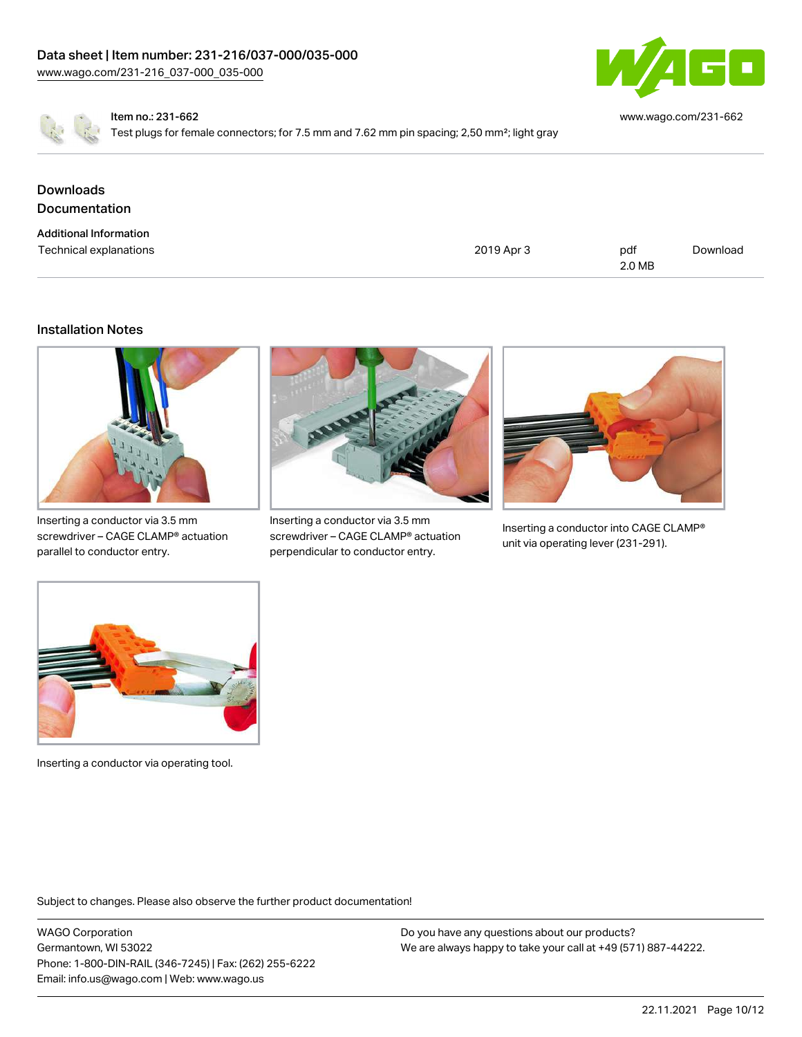

[www.wago.com/231-662](http://www.wago.com/231-662)

Item no.: 231-662

Test plugs for female connectors; for 7.5 mm and 7.62 mm pin spacing; 2,50 mm²; light gray

| <b>Downloads</b><br><b>Documentation</b> |            |        |          |
|------------------------------------------|------------|--------|----------|
| <b>Additional Information</b>            |            |        |          |
| Technical explanations                   | 2019 Apr 3 | pdf    | Download |
|                                          |            | 2.0 MB |          |

## Installation Notes



Inserting a conductor via 3.5 mm screwdriver – CAGE CLAMP® actuation parallel to conductor entry.



Inserting a conductor via 3.5 mm screwdriver – CAGE CLAMP® actuation perpendicular to conductor entry.



Inserting a conductor into CAGE CLAMP® unit via operating lever (231-291).



Inserting a conductor via operating tool.

Subject to changes. Please also observe the further product documentation!

WAGO Corporation Germantown, WI 53022 Phone: 1-800-DIN-RAIL (346-7245) | Fax: (262) 255-6222 Email: info.us@wago.com | Web: www.wago.us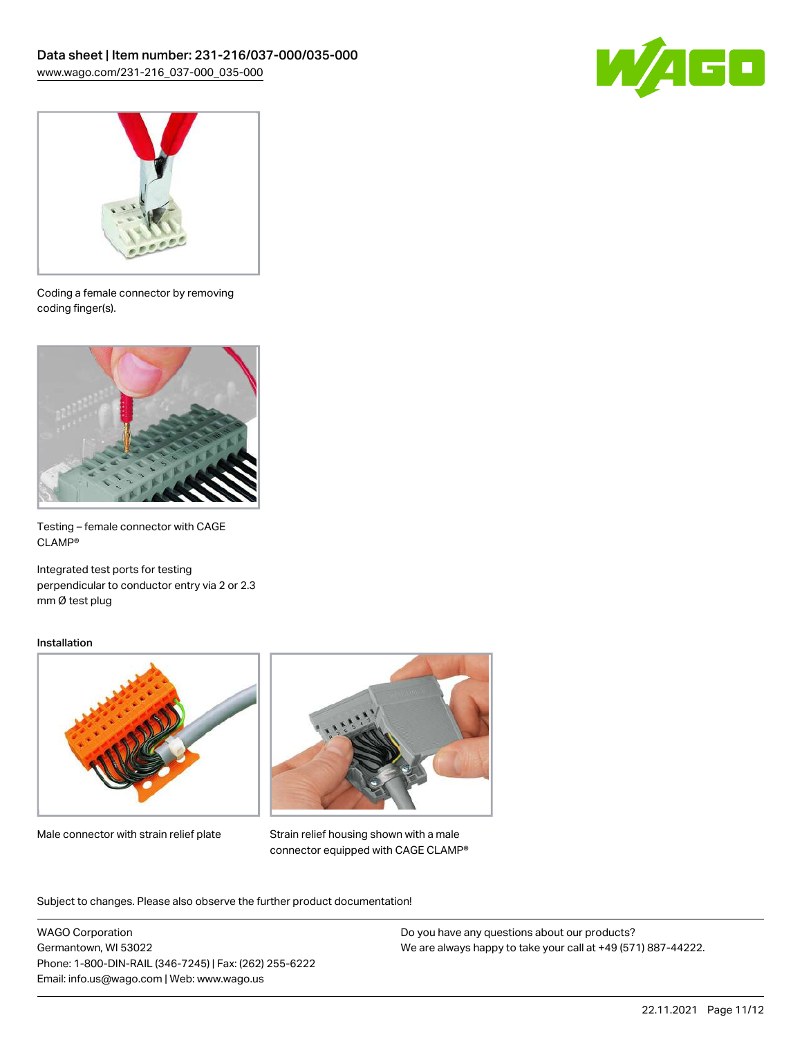



Coding a female connector by removing coding finger(s).



Testing – female connector with CAGE CLAMP®

Integrated test ports for testing perpendicular to conductor entry via 2 or 2.3 mm Ø test plug

#### Installation



Male connector with strain relief plate



Strain relief housing shown with a male connector equipped with CAGE CLAMP®

Subject to changes. Please also observe the further product documentation!

WAGO Corporation Germantown, WI 53022 Phone: 1-800-DIN-RAIL (346-7245) | Fax: (262) 255-6222 Email: info.us@wago.com | Web: www.wago.us